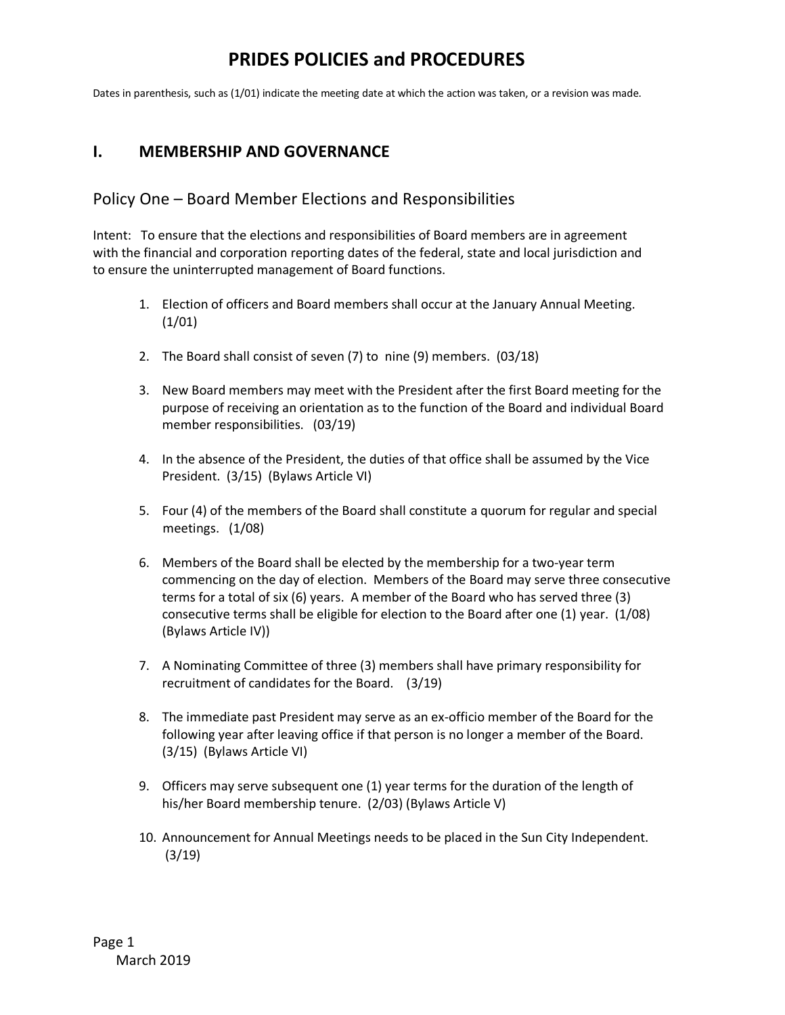Dates in parenthesis, such as (1/01) indicate the meeting date at which the action was taken, or a revision was made.

#### **I. MEMBERSHIP AND GOVERNANCE**

#### Policy One – Board Member Elections and Responsibilities

Intent: To ensure that the elections and responsibilities of Board members are in agreement with the financial and corporation reporting dates of the federal, state and local jurisdiction and to ensure the uninterrupted management of Board functions.

- 1. Election of officers and Board members shall occur at the January Annual Meeting.  $(1/01)$
- 2. The Board shall consist of seven (7) to nine (9) members. (03/18)
- 3. New Board members may meet with the President after the first Board meeting for the purpose of receiving an orientation as to the function of the Board and individual Board member responsibilities. (03/19)
- 4. In the absence of the President, the duties of that office shall be assumed by the Vice President. (3/15) (Bylaws Article VI)
- 5. Four (4) of the members of the Board shall constitute a quorum for regular and special meetings. (1/08)
- 6. Members of the Board shall be elected by the membership for a two-year term commencing on the day of election. Members of the Board may serve three consecutive terms for a total of six (6) years. A member of the Board who has served three (3) consecutive terms shall be eligible for election to the Board after one (1) year. (1/08) (Bylaws Article IV))
- 7. A Nominating Committee of three (3) members shall have primary responsibility for recruitment of candidates for the Board. (3/19)
- 8. The immediate past President may serve as an ex-officio member of the Board for the following year after leaving office if that person is no longer a member of the Board. (3/15) (Bylaws Article VI)
- 9. Officers may serve subsequent one (1) year terms for the duration of the length of his/her Board membership tenure. (2/03) (Bylaws Article V)
- 10. Announcement for Annual Meetings needs to be placed in the Sun City Independent. (3/19)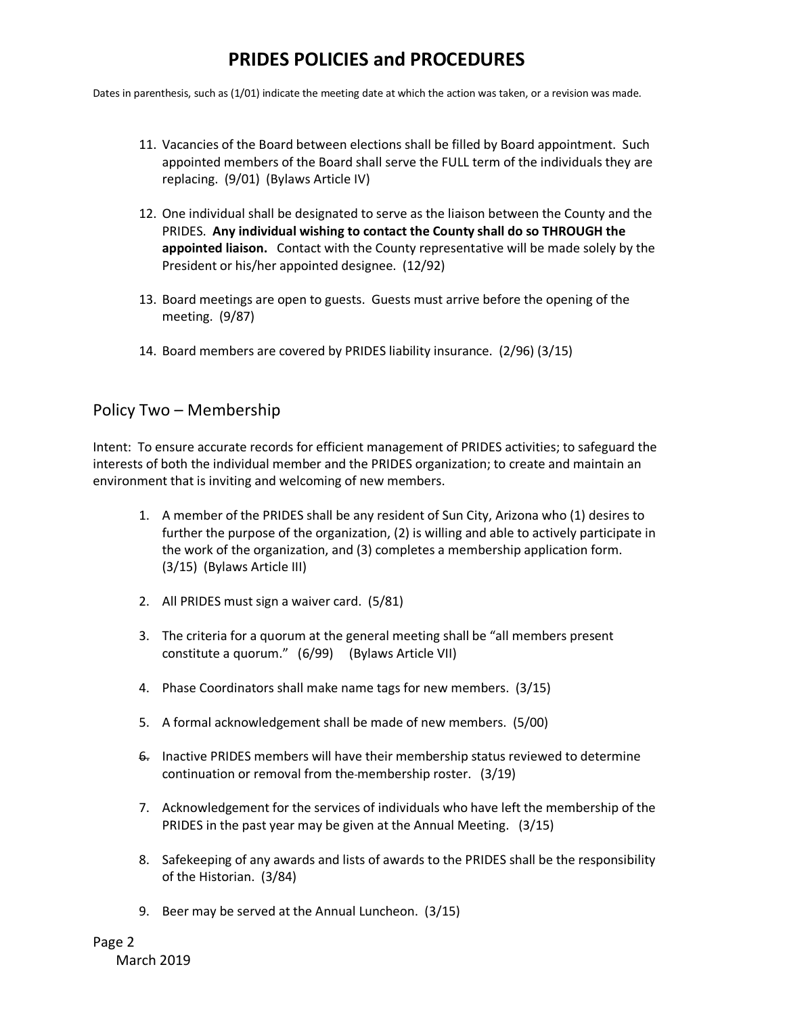Dates in parenthesis, such as (1/01) indicate the meeting date at which the action was taken, or a revision was made.

- 11. Vacancies of the Board between elections shall be filled by Board appointment. Such appointed members of the Board shall serve the FULL term of the individuals they are replacing. (9/01) (Bylaws Article IV)
- 12. One individual shall be designated to serve as the liaison between the County and the PRIDES. **Any individual wishing to contact the County shall do so THROUGH the appointed liaison.** Contact with the County representative will be made solely by the President or his/her appointed designee. (12/92)
- 13. Board meetings are open to guests. Guests must arrive before the opening of the meeting. (9/87)
- 14. Board members are covered by PRIDES liability insurance. (2/96) (3/15)

#### Policy Two – Membership

Intent: To ensure accurate records for efficient management of PRIDES activities; to safeguard the interests of both the individual member and the PRIDES organization; to create and maintain an environment that is inviting and welcoming of new members.

- 1. A member of the PRIDES shall be any resident of Sun City, Arizona who (1) desires to further the purpose of the organization, (2) is willing and able to actively participate in the work of the organization, and (3) completes a membership application form. (3/15) (Bylaws Article III)
- 2. All PRIDES must sign a waiver card. (5/81)
- 3. The criteria for a quorum at the general meeting shall be "all members present constitute a quorum." (6/99) (Bylaws Article VII)
- 4. Phase Coordinators shall make name tags for new members. (3/15)
- 5. A formal acknowledgement shall be made of new members. (5/00)
- 6. Inactive PRIDES members will have their membership status reviewed to determine continuation or removal from the membership roster. (3/19)
- 7. Acknowledgement for the services of individuals who have left the membership of the PRIDES in the past year may be given at the Annual Meeting. (3/15)
- 8. Safekeeping of any awards and lists of awards to the PRIDES shall be the responsibility of the Historian. (3/84)
- 9. Beer may be served at the Annual Luncheon. (3/15)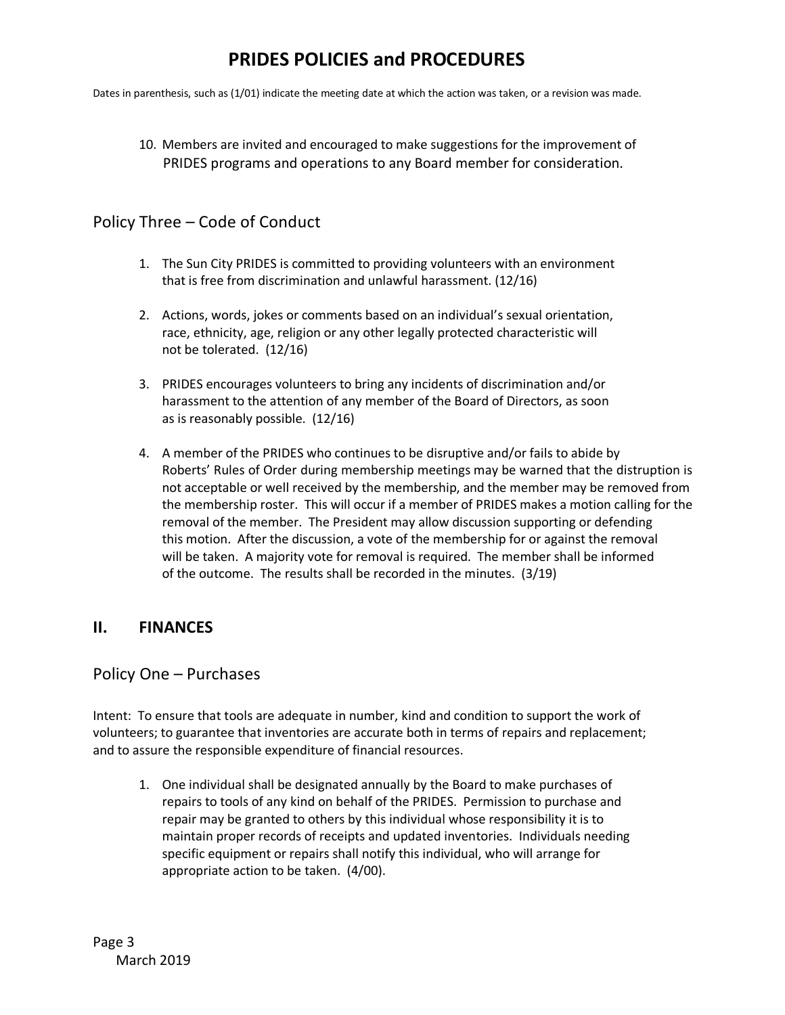Dates in parenthesis, such as (1/01) indicate the meeting date at which the action was taken, or a revision was made.

10. Members are invited and encouraged to make suggestions for the improvement of PRIDES programs and operations to any Board member for consideration.

#### Policy Three – Code of Conduct

- 1. The Sun City PRIDES is committed to providing volunteers with an environment that is free from discrimination and unlawful harassment. (12/16)
- 2. Actions, words, jokes or comments based on an individual's sexual orientation, race, ethnicity, age, religion or any other legally protected characteristic will not be tolerated. (12/16)
- 3. PRIDES encourages volunteers to bring any incidents of discrimination and/or harassment to the attention of any member of the Board of Directors, as soon as is reasonably possible. (12/16)
- 4. A member of the PRIDES who continues to be disruptive and/or fails to abide by Roberts' Rules of Order during membership meetings may be warned that the distruption is not acceptable or well received by the membership, and the member may be removed from the membership roster. This will occur if a member of PRIDES makes a motion calling for the removal of the member. The President may allow discussion supporting or defending this motion. After the discussion, a vote of the membership for or against the removal will be taken. A majority vote for removal is required. The member shall be informed of the outcome. The results shall be recorded in the minutes. (3/19)

#### **II. FINANCES**

#### Policy One – Purchases

Intent: To ensure that tools are adequate in number, kind and condition to support the work of volunteers; to guarantee that inventories are accurate both in terms of repairs and replacement; and to assure the responsible expenditure of financial resources.

1. One individual shall be designated annually by the Board to make purchases of repairs to tools of any kind on behalf of the PRIDES. Permission to purchase and repair may be granted to others by this individual whose responsibility it is to maintain proper records of receipts and updated inventories. Individuals needing specific equipment or repairs shall notify this individual, who will arrange for appropriate action to be taken. (4/00).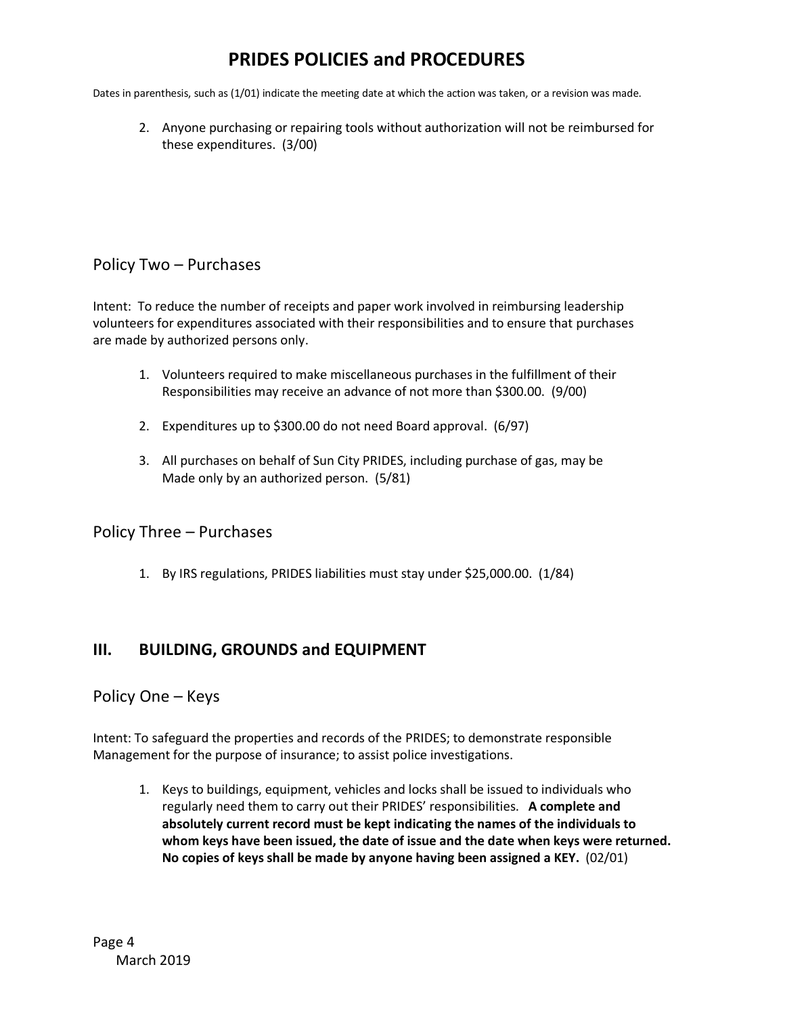Dates in parenthesis, such as (1/01) indicate the meeting date at which the action was taken, or a revision was made.

2. Anyone purchasing or repairing tools without authorization will not be reimbursed for these expenditures. (3/00)

#### Policy Two – Purchases

Intent: To reduce the number of receipts and paper work involved in reimbursing leadership volunteers for expenditures associated with their responsibilities and to ensure that purchases are made by authorized persons only.

- 1. Volunteers required to make miscellaneous purchases in the fulfillment of their Responsibilities may receive an advance of not more than \$300.00. (9/00)
- 2. Expenditures up to \$300.00 do not need Board approval. (6/97)
- 3. All purchases on behalf of Sun City PRIDES, including purchase of gas, may be Made only by an authorized person. (5/81)

#### Policy Three – Purchases

1. By IRS regulations, PRIDES liabilities must stay under \$25,000.00. (1/84)

### **III. BUILDING, GROUNDS and EQUIPMENT**

#### Policy One – Keys

Intent: To safeguard the properties and records of the PRIDES; to demonstrate responsible Management for the purpose of insurance; to assist police investigations.

1. Keys to buildings, equipment, vehicles and locks shall be issued to individuals who regularly need them to carry out their PRIDES' responsibilities. **A complete and absolutely current record must be kept indicating the names of the individuals to whom keys have been issued, the date of issue and the date when keys were returned. No copies of keys shall be made by anyone having been assigned a KEY.** (02/01)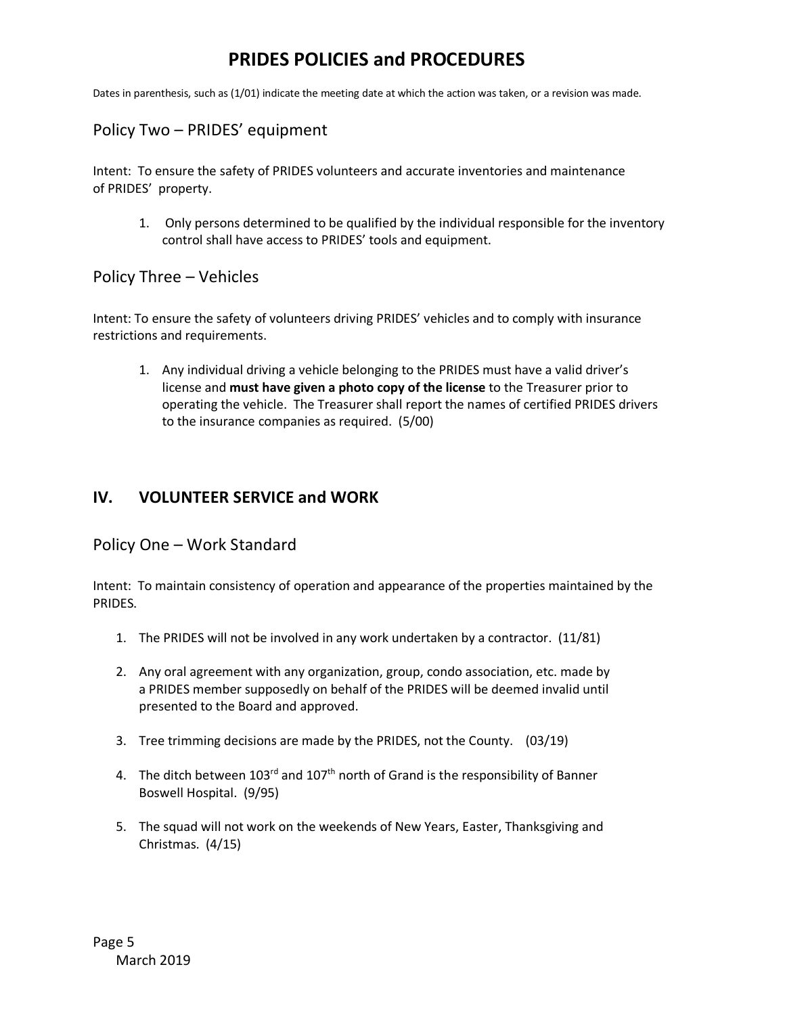Dates in parenthesis, such as (1/01) indicate the meeting date at which the action was taken, or a revision was made.

### Policy Two – PRIDES' equipment

Intent: To ensure the safety of PRIDES volunteers and accurate inventories and maintenance of PRIDES' property.

1. Only persons determined to be qualified by the individual responsible for the inventory control shall have access to PRIDES' tools and equipment.

#### Policy Three – Vehicles

Intent: To ensure the safety of volunteers driving PRIDES' vehicles and to comply with insurance restrictions and requirements.

1. Any individual driving a vehicle belonging to the PRIDES must have a valid driver's license and **must have given a photo copy of the license** to the Treasurer prior to operating the vehicle. The Treasurer shall report the names of certified PRIDES drivers to the insurance companies as required. (5/00)

### **IV. VOLUNTEER SERVICE and WORK**

Policy One – Work Standard

Intent: To maintain consistency of operation and appearance of the properties maintained by the PRIDES.

- 1. The PRIDES will not be involved in any work undertaken by a contractor. (11/81)
- 2. Any oral agreement with any organization, group, condo association, etc. made by a PRIDES member supposedly on behalf of the PRIDES will be deemed invalid until presented to the Board and approved.
- 3. Tree trimming decisions are made by the PRIDES, not the County. (03/19)
- 4. The ditch between  $103^{rd}$  and  $107^{th}$  north of Grand is the responsibility of Banner Boswell Hospital. (9/95)
- 5. The squad will not work on the weekends of New Years, Easter, Thanksgiving and Christmas. (4/15)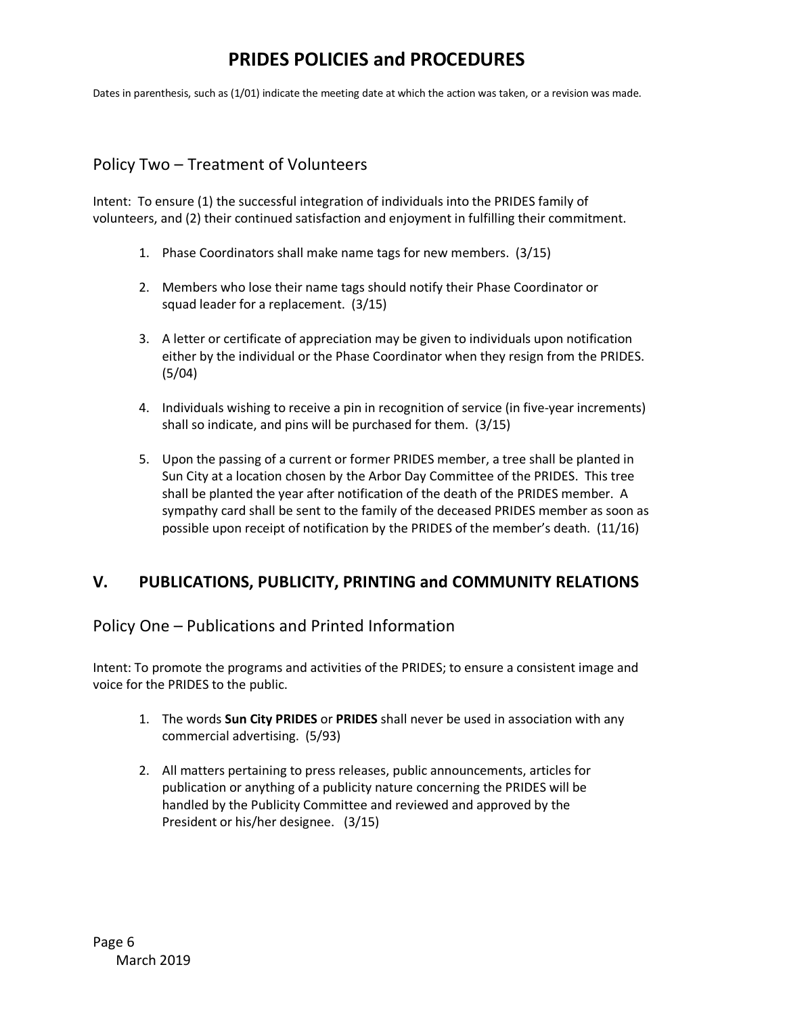Dates in parenthesis, such as (1/01) indicate the meeting date at which the action was taken, or a revision was made.

### Policy Two – Treatment of Volunteers

Intent: To ensure (1) the successful integration of individuals into the PRIDES family of volunteers, and (2) their continued satisfaction and enjoyment in fulfilling their commitment.

- 1. Phase Coordinators shall make name tags for new members. (3/15)
- 2. Members who lose their name tags should notify their Phase Coordinator or squad leader for a replacement. (3/15)
- 3. A letter or certificate of appreciation may be given to individuals upon notification either by the individual or the Phase Coordinator when they resign from the PRIDES. (5/04)
- 4. Individuals wishing to receive a pin in recognition of service (in five-year increments) shall so indicate, and pins will be purchased for them. (3/15)
- 5. Upon the passing of a current or former PRIDES member, a tree shall be planted in Sun City at a location chosen by the Arbor Day Committee of the PRIDES. This tree shall be planted the year after notification of the death of the PRIDES member. A sympathy card shall be sent to the family of the deceased PRIDES member as soon as possible upon receipt of notification by the PRIDES of the member's death. (11/16)

### **V. PUBLICATIONS, PUBLICITY, PRINTING and COMMUNITY RELATIONS**

#### Policy One – Publications and Printed Information

Intent: To promote the programs and activities of the PRIDES; to ensure a consistent image and voice for the PRIDES to the public.

- 1. The words **Sun City PRIDES** or **PRIDES** shall never be used in association with any commercial advertising. (5/93)
- 2. All matters pertaining to press releases, public announcements, articles for publication or anything of a publicity nature concerning the PRIDES will be handled by the Publicity Committee and reviewed and approved by the President or his/her designee. (3/15)